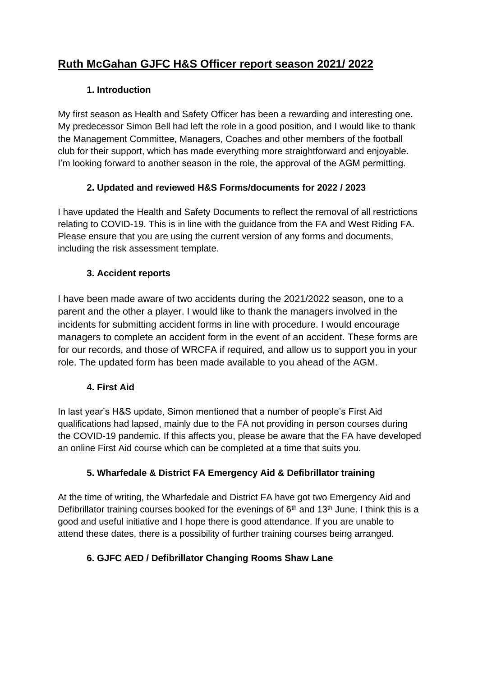# **Ruth McGahan GJFC H&S Officer report season 2021/ 2022**

# **1. Introduction**

My first season as Health and Safety Officer has been a rewarding and interesting one. My predecessor Simon Bell had left the role in a good position, and I would like to thank the Management Committee, Managers, Coaches and other members of the football club for their support, which has made everything more straightforward and enjoyable. I'm looking forward to another season in the role, the approval of the AGM permitting.

# **2. Updated and reviewed H&S Forms/documents for 2022 / 2023**

I have updated the Health and Safety Documents to reflect the removal of all restrictions relating to COVID-19. This is in line with the guidance from the FA and West Riding FA. Please ensure that you are using the current version of any forms and documents, including the risk assessment template.

## **3. Accident reports**

I have been made aware of two accidents during the 2021/2022 season, one to a parent and the other a player. I would like to thank the managers involved in the incidents for submitting accident forms in line with procedure. I would encourage managers to complete an accident form in the event of an accident. These forms are for our records, and those of WRCFA if required, and allow us to support you in your role. The updated form has been made available to you ahead of the AGM.

### **4. First Aid**

In last year's H&S update, Simon mentioned that a number of people's First Aid qualifications had lapsed, mainly due to the FA not providing in person courses during the COVID-19 pandemic. If this affects you, please be aware that the FA have developed an online First Aid course which can be completed at a time that suits you.

### **5. Wharfedale & District FA Emergency Aid & Defibrillator training**

At the time of writing, the Wharfedale and District FA have got two Emergency Aid and Defibrillator training courses booked for the evenings of  $6<sup>th</sup>$  and 13<sup>th</sup> June. I think this is a good and useful initiative and I hope there is good attendance. If you are unable to attend these dates, there is a possibility of further training courses being arranged.

# **6. GJFC AED / Defibrillator Changing Rooms Shaw Lane**